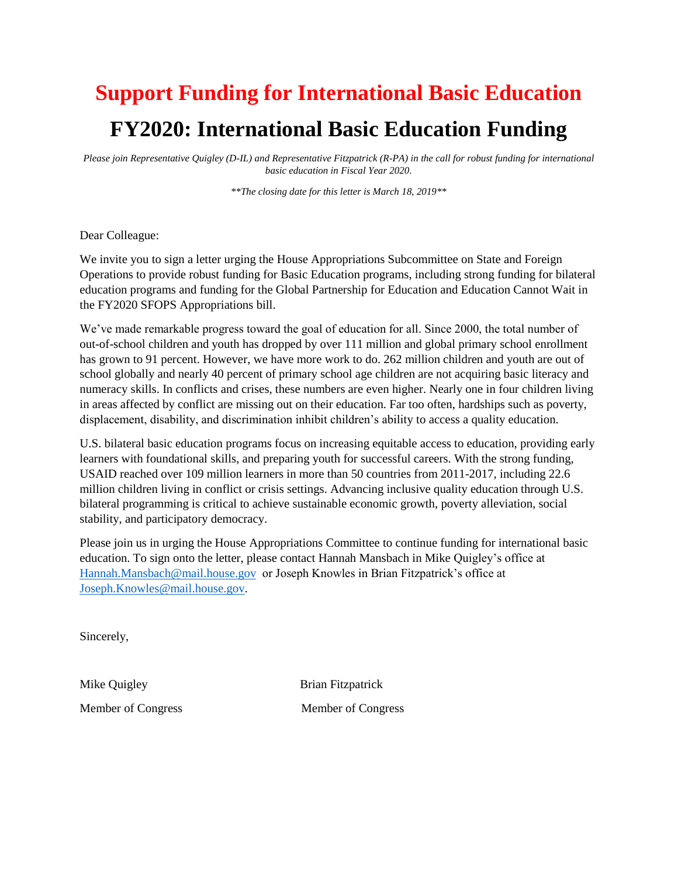## **Support Funding for International Basic Education FY2020: International Basic Education Funding**

*Please join Representative Quigley (D-IL) and Representative Fitzpatrick (R-PA) in the call for robust funding for international basic education in Fiscal Year 2020.* 

*\*\*The closing date for this letter is March 18, 2019\*\**

Dear Colleague:

We invite you to sign a letter urging the House Appropriations Subcommittee on State and Foreign Operations to provide robust funding for Basic Education programs, including strong funding for bilateral education programs and funding for the Global Partnership for Education and Education Cannot Wait in the FY2020 SFOPS Appropriations bill.

We've made remarkable progress toward the goal of education for all. Since 2000, the total number of out-of-school children and youth has dropped by over 111 million and global primary school enrollment has grown to 91 percent. However, we have more work to do. 262 million children and youth are out of school globally and nearly 40 percent of primary school age children are not acquiring basic literacy and numeracy skills. In conflicts and crises, these numbers are even higher. Nearly one in four children living in areas affected by conflict are missing out on their education. Far too often, hardships such as poverty, displacement, disability, and discrimination inhibit children's ability to access a quality education.

U.S. bilateral basic education programs focus on increasing equitable access to education, providing early learners with foundational skills, and preparing youth for successful careers. With the strong funding, USAID reached over 109 million learners in more than 50 countries from 2011-2017, including 22.6 million children living in conflict or crisis settings. Advancing inclusive quality education through U.S. bilateral programming is critical to achieve sustainable economic growth, poverty alleviation, social stability, and participatory democracy.

Please join us in urging the House Appropriations Committee to continue funding for international basic education. To sign onto the letter, please contact Hannah Mansbach in Mike Quigley's office at [Hannah.Mansbach@mail.house.gov](mailto:Hannah.Mansbach@mail.house.gov) or Joseph Knowles in Brian Fitzpatrick's office at [Joseph.Knowles@mail.house.gov.](mailto:Joseph.Knowles@mail.house.gov)

Sincerely,

Mike Quigley Brian Fitzpatrick Member of Congress Member of Congress